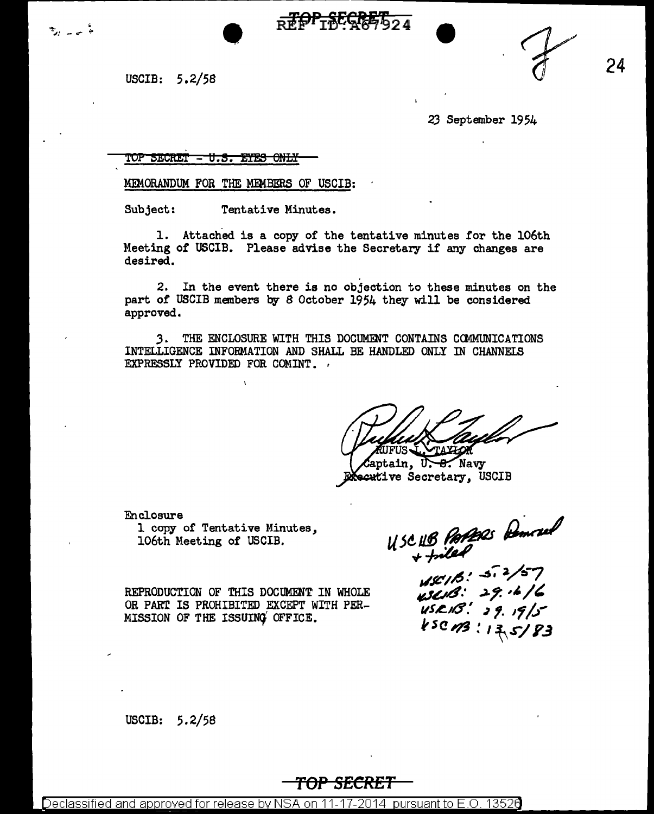**24** 

USCIB: 5.2/58

في بيانية

*23* September 1954

'!Of' **5.ISCimT** - H. **8. Efi!!8** 6.NL¥

MIMORANDUM FOR THE MEMBERS OF USCIB:

•

Subject: Tentative Minutes.

1. Attached is a copy or the tentative minutes for the 106th Meeting of USCIB. Please advise the Secretary if any changes are desired.

REPLACEMENT

2. In the event there is no objection to these minutes on the part of USCIB members by 8 October 1954 they will be considered approved.

*3.* THE ENCLOSURE WITH THIS DOCUMENT CONTAINS CCMMUNICATIONS INTELLIGENCE INFOBMATION AND SHALL BE HANDLED ONLY IN CHANNELS EXPRESSLY PROVIDED FOR COMINT.

aptain, U. 8. Navy Secutive Secretary, USCIB

Enclosure

1 copy of Tentative Minutes, 106th Meeting of USCIB.

REPRODUCTION OF THIS DOCUMENT IN WHOLE OR PART IS PROHIBITED EXCEPT WITH PER-MISSION OF THE ISSUING OFFICE.

USCHB PAPARS Demovel

 $48/16$ : 5.2/57  $452/3$ : 29.16/6  $\frac{1}{15}$  USR 18! 39.19/5  $k$ sc  $n3$ : 13, 5/83

USCIB: 5.2/58

## **TOP SECRET**

Declassified and approved for release by NSA on 11-17-2014 pursuant to E.O. 13526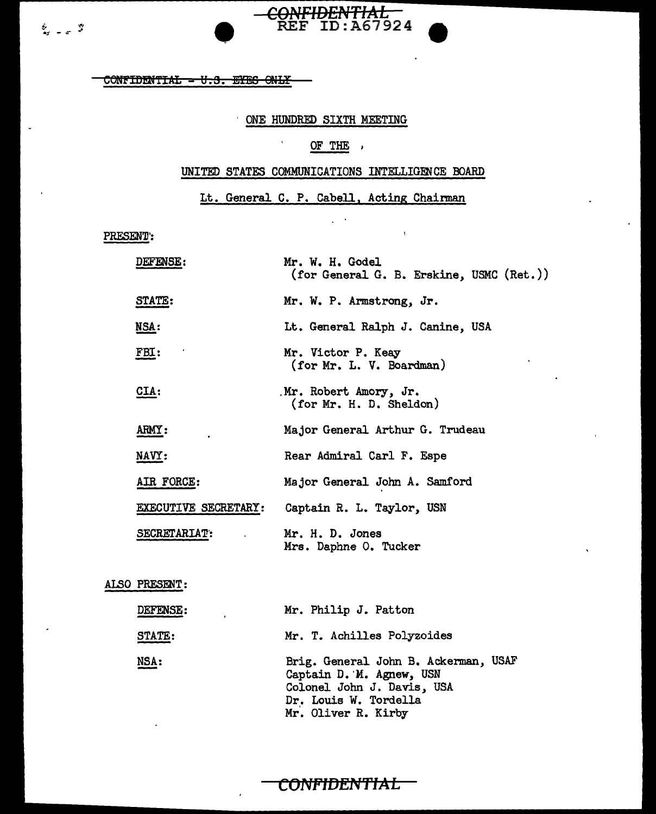$\sim$ 

# •

## ONE HUNDRED SIXTH MEETING

 $\hat{\mathbf{v}}$ 

**CONFIDENTIAL** REF ID:A67924

## OF THE

## UNITED STATES COMMUNICATIONS INTELLIGENCE BOARD

Lt. General C. P. Cabell, Acting Chairman

 $\zeta \to \bar{\zeta}$ 

 $\bar{\rm t}$ 

PRESENT:

| <b>DEFENSE:</b>      | Mr. W. H. Godel<br>(for General G. B. Erskine, USMC (Ret.)) |
|----------------------|-------------------------------------------------------------|
| STATE:               | Mr. W. P. Armstrong, Jr.                                    |
| MSA:                 | Lt. General Ralph J. Canine, USA                            |
| FBI:                 | Mr. Victor P. Keay<br>(for Mr. L. V. Boardman)              |
| CIA:                 | Mr. Robert Amory, Jr.<br>(for Mr. H. D. Sheldon)            |
| ARMY:                | Major General Arthur G. Trudeau                             |
| NAVY:                | Rear Admiral Carl F. Espe                                   |
| AIR FORCE:           | Major General John A. Samford                               |
| EXECUTIVE SECRETARY: | Captain R. L. Taylor, USN                                   |
| SECRETARIAT:         | Mr. H. D. Jones<br>Mrs. Daphne O. Tucker                    |

#### ALSO PRESENT:

| <b>DEFENSE:</b> | Mr. Philip J. Patton                                                                                                                           |
|-----------------|------------------------------------------------------------------------------------------------------------------------------------------------|
| <b>STATE:</b>   | Mr. T. Achilles Polyzoides                                                                                                                     |
| <u>NSA:</u>     | Brig. General John B. Ackerman, USAF<br>Captain D. M. Agnew, USN<br>Colonel John J. Davis, USA<br>Dr. Louis W. Tordella<br>Mr. Oliver R. Kirby |

## **CONFIDENTIAL**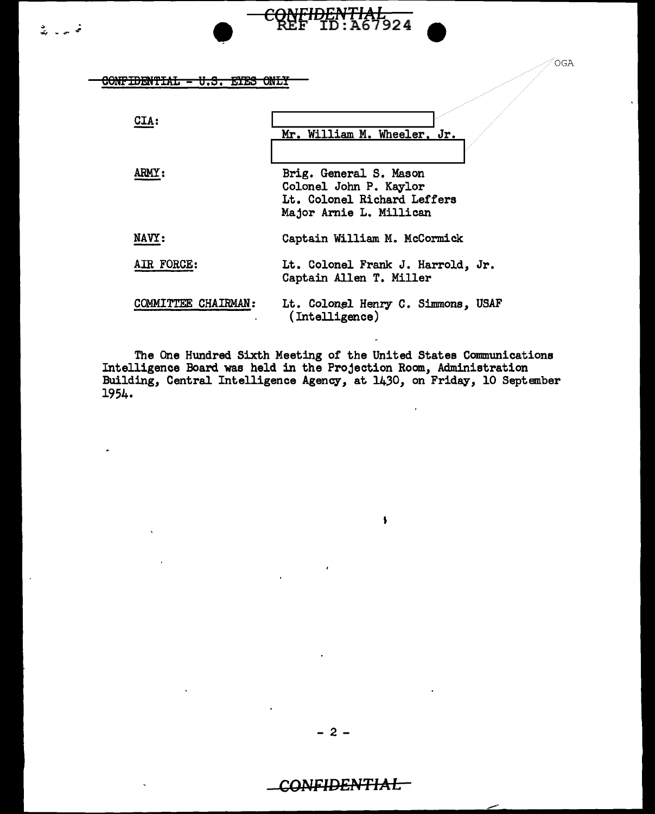<sup>~</sup>......... *-4'* • C~FIDEP\'TIAL F ID:A67924 CONFIDENTIAL - U.S. EYES ONLY

| CTA:                | Mr. William M. Wheeler, Jr.                                                                                |
|---------------------|------------------------------------------------------------------------------------------------------------|
| ARMY:               | Brig. General S. Mason<br>Colonel John P. Kaylor<br>Lt. Colonel Richard Leffers<br>Major Arnie L. Millican |
| NAVY:               | Captain William M. McCormick                                                                               |
| AIR FORCE:          | Lt. Colonel Frank J. Harrold, Jr.<br>Captain Allen T. Miller                                               |
| COMMITTEE CHAIRMAN: | Lt. Colonel Henry C. Simmons, USAF<br>(Intelligence)                                                       |

OGA

The One Hundred Sixth Meeting of the United States Communications Intelligence Board was held in the Projection Room, Administration Building, Central Intelligence Agency, at 1430, on Friday, 10 September 1954.

 $\overline{\phantom{a}}$ 

# CONFIDENTIAL